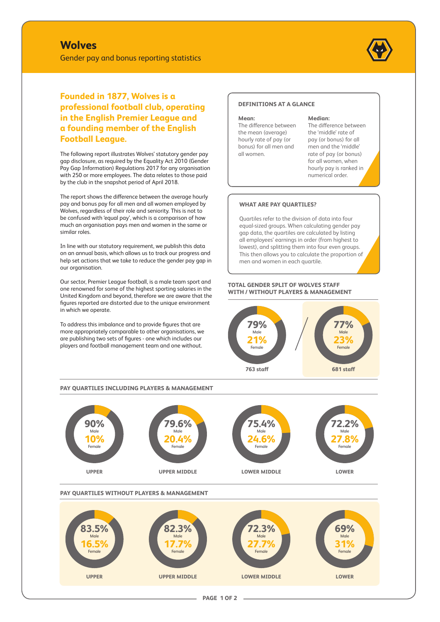# **Wolves**

Gender pay and bonus reporting statistics



**Founded in 1877, Wolves is a professional football club, operating in the English Premier League and a founding member of the English Football League.**

The following report illustrates Wolves' statutory gender pay gap disclosure, as required by the Equality Act 2010 (Gender Pay Gap Information) Regulations 2017 for any organisation with 250 or more employees. The data relates to those paid by the club in the snapshot period of April 2018.

The report shows the difference between the average hourly pay and bonus pay for all men and all women employed by Wolves, regardless of their role and seniority. This is not to be confused with 'equal pay', which is a comparison of how much an organisation pays men and women in the same or similar roles.

In line with our statutory requirement, we publish this data on an annual basis, which allows us to track our progress and help set actions that we take to reduce the gender pay gap in our organisation.

Our sector, Premier League football, is a male team sport and one renowned for some of the highest sporting salaries in the United Kingdom and beyond, therefore we are aware that the figures reported are distorted due to the unique environment in which we operate.

To address this imbalance and to provide figures that are more appropriately comparable to other organisations, we are publishing two sets of figures - one which includes our players and football management team and one without.

#### **DEFINITIONS AT A GLANCE**

**Mean:** 

The difference between the mean (average) hourly rate of pay (or bonus) for all men and all women.

#### **Median:**

The difference between the 'middle' rate of pay (or bonus) for all men and the 'middle' rate of pay (or bonus) for all women, when hourly pay is ranked in numerical order.

#### **WHAT ARE PAY QUARTILES?**

Quartiles refer to the division of data into four equal-sized groups. When calculating gender pay gap data, the quartiles are calculated by listing all employees' earnings in order (from highest to lowest), and splitting them into four even groups. This then allows you to calculate the proportion of men and women in each quartile.

#### **TOTAL GENDER SPLIT OF WOLVES STAFF WITH / WITHOUT PLAYERS & MANAGEMENT**



#### **PAY QUARTILES INCLUDING PLAYERS & MANAGEMENT**



### **PAY QUARTILES WITHOUT PLAYERS & MANAGEMENT**